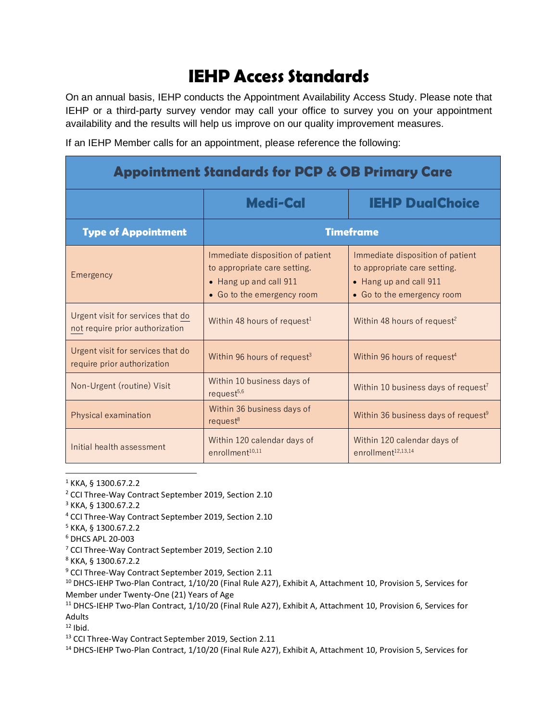## **IEHP Access Standards**

On an annual basis, IEHP conducts the Appointment Availability Access Study. Please note that IEHP or a third-party survey vendor may call your office to survey you on your appointment availability and the results will help us improve on our quality improvement measures.

If an IEHP Member calls for an appointment, please reference the following:

| <b>Appointment Standards for PCP &amp; OB Primary Care</b>           |                                                                                                                          |                                                                                                                          |
|----------------------------------------------------------------------|--------------------------------------------------------------------------------------------------------------------------|--------------------------------------------------------------------------------------------------------------------------|
|                                                                      | <b>Medi-Cal</b>                                                                                                          | <b>IEHP DualChoice</b>                                                                                                   |
| <b>Type of Appointment</b>                                           | <b>Timeframe</b>                                                                                                         |                                                                                                                          |
| Emergency                                                            | Immediate disposition of patient<br>to appropriate care setting.<br>• Hang up and call 911<br>• Go to the emergency room | Immediate disposition of patient<br>to appropriate care setting.<br>• Hang up and call 911<br>• Go to the emergency room |
| Urgent visit for services that do<br>not require prior authorization | Within 48 hours of request <sup>1</sup>                                                                                  | Within 48 hours of request <sup>2</sup>                                                                                  |
| Urgent visit for services that do<br>require prior authorization     | Within 96 hours of request <sup>3</sup>                                                                                  | Within 96 hours of request <sup>4</sup>                                                                                  |
| Non-Urgent (routine) Visit                                           | Within 10 business days of<br>$request^{5,6}$                                                                            | Within 10 business days of request <sup>7</sup>                                                                          |
| Physical examination                                                 | Within 36 business days of<br>$request^8$                                                                                | Within 36 business days of request <sup>9</sup>                                                                          |
| Initial health assessment                                            | Within 120 calendar days of<br>enrollment <sup>10,11</sup>                                                               | Within 120 calendar days of<br>enrollment <sup>12,13,14</sup>                                                            |

 $1$  KKA, § 1300.67.2.2

- <sup>2</sup> CCI Three-Way Contract September 2019, Section 2.10
- <sup>3</sup> KKA, § 1300.67.2.2
- <sup>4</sup> CCI Three-Way Contract September 2019, Section 2.10
- <sup>5</sup> KKA, § 1300.67.2.2
- <sup>6</sup> DHCS APL 20-003
- <sup>7</sup> CCI Three-Way Contract September 2019, Section 2.10
- <sup>8</sup> KKA, § 1300.67.2.2
- <sup>9</sup> CCI Three-Way Contract September 2019, Section 2.11
- <sup>10</sup> DHCS-IEHP Two-Plan Contract, 1/10/20 (Final Rule A27), Exhibit A, Attachment 10, Provision 5, Services for Member under Twenty-One (21) Years of Age
- <sup>11</sup> DHCS-IEHP Two-Plan Contract, 1/10/20 (Final Rule A27), Exhibit A, Attachment 10, Provision 6, Services for Adults

 $12$  Ibid.

<sup>13</sup> CCI Three-Way Contract September 2019, Section 2.11

<sup>14</sup> DHCS-IEHP Two-Plan Contract, 1/10/20 (Final Rule A27), Exhibit A, Attachment 10, Provision 5, Services for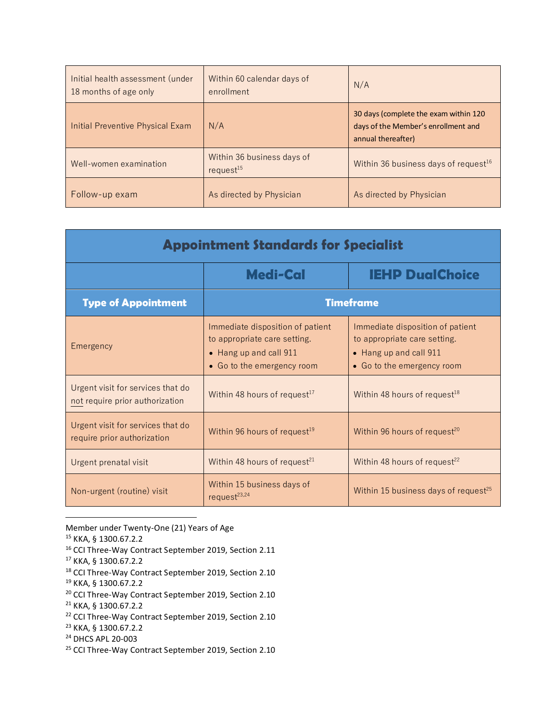| Initial health assessment (under<br>18 months of age only | Within 60 calendar days of<br>enrollment     | N/A                                                                                                |
|-----------------------------------------------------------|----------------------------------------------|----------------------------------------------------------------------------------------------------|
| Initial Preventive Physical Exam                          | N/A                                          | 30 days (complete the exam within 120<br>days of the Member's enrollment and<br>annual thereafter) |
| Well-women examination                                    | Within 36 business days of<br>$request^{15}$ | Within 36 business days of request <sup>16</sup>                                                   |
| Follow-up exam                                            | As directed by Physician                     | As directed by Physician                                                                           |

| <b>Appointment Standards for Specialist</b>                          |                                                                                                                          |                                                                                                                          |
|----------------------------------------------------------------------|--------------------------------------------------------------------------------------------------------------------------|--------------------------------------------------------------------------------------------------------------------------|
|                                                                      | <b>IEHP DualChoice</b><br>Medi-Cal                                                                                       |                                                                                                                          |
| <b>Type of Appointment</b>                                           | <b>Timeframe</b>                                                                                                         |                                                                                                                          |
| Emergency                                                            | Immediate disposition of patient<br>to appropriate care setting.<br>• Hang up and call 911<br>• Go to the emergency room | Immediate disposition of patient<br>to appropriate care setting.<br>• Hang up and call 911<br>• Go to the emergency room |
| Urgent visit for services that do<br>not require prior authorization | Within 48 hours of request <sup>17</sup>                                                                                 | Within 48 hours of request <sup>18</sup>                                                                                 |
| Urgent visit for services that do<br>require prior authorization     | Within 96 hours of request <sup>19</sup>                                                                                 | Within 96 hours of request <sup>20</sup>                                                                                 |
| Urgent prenatal visit                                                | Within 48 hours of request <sup>21</sup>                                                                                 | Within 48 hours of request <sup>22</sup>                                                                                 |
| Non-urgent (routine) visit                                           | Within 15 business days of<br>request $23,24$                                                                            | Within 15 business days of request <sup>25</sup>                                                                         |

- Member under Twenty-One (21) Years of Age
- <sup>15</sup> KKA, § 1300.67.2.2
- <sup>16</sup> CCI Three-Way Contract September 2019, Section 2.11
- <sup>17</sup> KKA, § 1300.67.2.2
- <sup>18</sup> CCI Three-Way Contract September 2019, Section 2.10
- <sup>19</sup> KKA, § 1300.67.2.2
- <sup>20</sup> CCI Three-Way Contract September 2019, Section 2.10
- <sup>21</sup> KKA, § 1300.67.2.2
- <sup>22</sup> CCI Three-Way Contract September 2019, Section 2.10
- <sup>23</sup> KKA, § 1300.67.2.2
- <sup>24</sup> DHCS APL 20-003
- <sup>25</sup> CCI Three-Way Contract September 2019, Section 2.10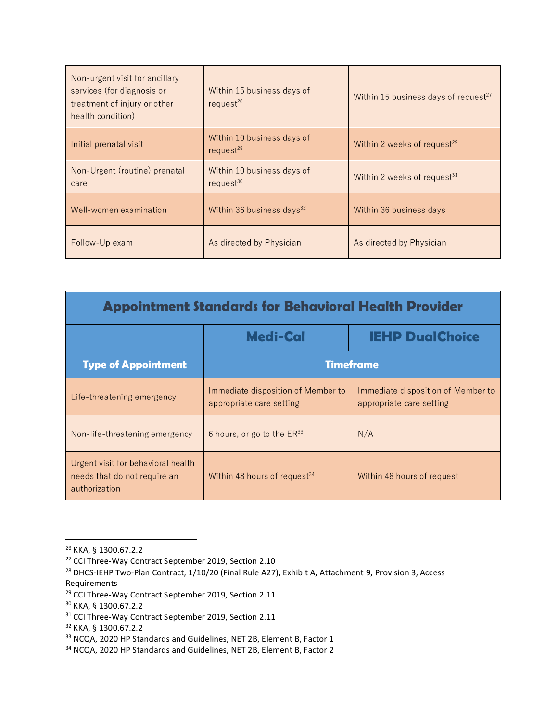| Non-urgent visit for ancillary<br>services (for diagnosis or<br>treatment of injury or other<br>health condition) | Within 15 business days of<br>request $^{26}$ | Within 15 business days of request <sup>27</sup> |
|-------------------------------------------------------------------------------------------------------------------|-----------------------------------------------|--------------------------------------------------|
| Initial prenatal visit                                                                                            | Within 10 business days of<br>request $28$    | Within 2 weeks of request <sup>29</sup>          |
| Non-Urgent (routine) prenatal<br>care                                                                             | Within 10 business days of<br>request $30$    | Within 2 weeks of request <sup>31</sup>          |
| Well-women examination                                                                                            | Within 36 business days $32$                  | Within 36 business days                          |
| Follow-Up exam                                                                                                    | As directed by Physician                      | As directed by Physician                         |

| <b>Appointment Standards for Behavioral Health Provider</b>                         |                                                                |                                                                |
|-------------------------------------------------------------------------------------|----------------------------------------------------------------|----------------------------------------------------------------|
|                                                                                     | <b>Medi-Cal</b>                                                | <b>IEHP DualChoice</b>                                         |
| <b>Type of Appointment</b>                                                          |                                                                | <b>Timeframe</b>                                               |
| Life-threatening emergency                                                          | Immediate disposition of Member to<br>appropriate care setting | Immediate disposition of Member to<br>appropriate care setting |
| Non-life-threatening emergency                                                      | 6 hours, or go to the $ER^{33}$                                | N/A                                                            |
| Urgent visit for behavioral health<br>needs that do not require an<br>authorization | Within 48 hours of request <sup>34</sup>                       | Within 48 hours of request                                     |

<sup>26</sup> KKA, § 1300.67.2.2

<sup>&</sup>lt;sup>27</sup> CCI Three-Way Contract September 2019, Section 2.10

<sup>&</sup>lt;sup>28</sup> DHCS-IEHP Two-Plan Contract, 1/10/20 (Final Rule A27), Exhibit A, Attachment 9, Provision 3, Access Requirements

<sup>29</sup> CCI Three-Way Contract September 2019, Section 2.11

<sup>30</sup> KKA, § 1300.67.2.2

<sup>&</sup>lt;sup>31</sup> CCI Three-Way Contract September 2019, Section 2.11

<sup>32</sup> KKA, § 1300.67.2.2

<sup>&</sup>lt;sup>33</sup> NCQA, 2020 HP Standards and Guidelines, NET 2B, Element B, Factor 1

<sup>34</sup> NCQA, 2020 HP Standards and Guidelines, NET 2B, Element B, Factor 2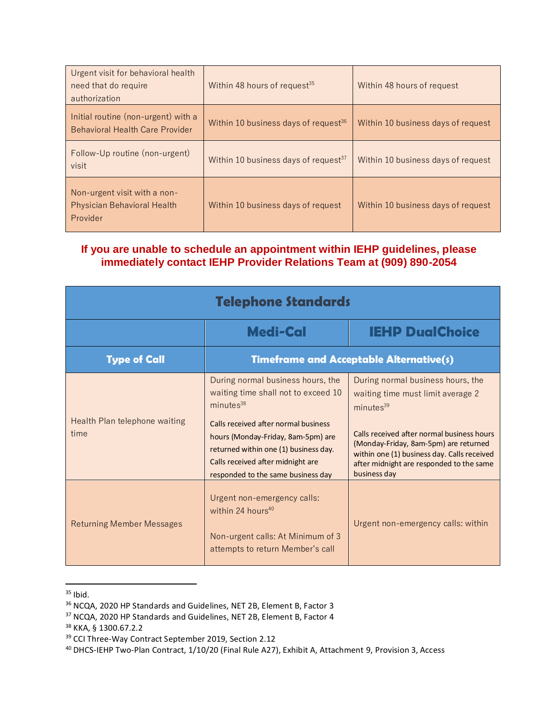| Urgent visit for behavioral health<br>need that do require<br>authorization    | Within 48 hours of request <sup>35</sup>         | Within 48 hours of request         |
|--------------------------------------------------------------------------------|--------------------------------------------------|------------------------------------|
| Initial routine (non-urgent) with a<br>Behavioral Health Care Provider         | Within 10 business days of request $36$          | Within 10 business days of request |
| Follow-Up routine (non-urgent)<br>visit                                        | Within 10 business days of request <sup>37</sup> | Within 10 business days of request |
| Non-urgent visit with a non-<br><b>Physician Behavioral Health</b><br>Provider | Within 10 business days of request               | Within 10 business days of request |

## **If you are unable to schedule an appointment within IEHP guidelines, please immediately contact IEHP Provider Relations Team at (909) 890-2054**

| <b>Telephone Standards</b>            |                                                                                                                                                                                                                                                                                                     |                                                                                                                                                                                                                                                                                                   |
|---------------------------------------|-----------------------------------------------------------------------------------------------------------------------------------------------------------------------------------------------------------------------------------------------------------------------------------------------------|---------------------------------------------------------------------------------------------------------------------------------------------------------------------------------------------------------------------------------------------------------------------------------------------------|
|                                       | <b>Medi-Cal</b>                                                                                                                                                                                                                                                                                     | <b>IEHP DualChoice</b>                                                                                                                                                                                                                                                                            |
| <b>Type of Call</b>                   | <b>Timeframe and Acceptable Alternative(s)</b>                                                                                                                                                                                                                                                      |                                                                                                                                                                                                                                                                                                   |
| Health Plan telephone waiting<br>time | During normal business hours, the<br>waiting time shall not to exceed 10<br>minutes <sup>38</sup><br>Calls received after normal business<br>hours (Monday-Friday, 8am-5pm) are<br>returned within one (1) business day.<br>Calls received after midnight are<br>responded to the same business day | During normal business hours, the<br>waiting time must limit average 2<br>minutes <sup>39</sup><br>Calls received after normal business hours<br>(Monday-Friday, 8am-5pm) are returned<br>within one (1) business day. Calls received<br>after midnight are responded to the same<br>business day |
| <b>Returning Member Messages</b>      | Urgent non-emergency calls:<br>within 24 hours <sup>40</sup><br>Non-urgent calls: At Minimum of 3<br>attempts to return Member's call                                                                                                                                                               | Urgent non-emergency calls: within                                                                                                                                                                                                                                                                |

 $35$  Ibid.

<sup>36</sup> NCQA, 2020 HP Standards and Guidelines, NET 2B, Element B, Factor 3

<sup>37</sup> NCQA, 2020 HP Standards and Guidelines, NET 2B, Element B, Factor 4

<sup>38</sup> KKA, § 1300.67.2.2

<sup>39</sup> CCI Three-Way Contract September 2019, Section 2.12

<sup>40</sup> DHCS-IEHP Two-Plan Contract, 1/10/20 (Final Rule A27), Exhibit A, Attachment 9, Provision 3, Access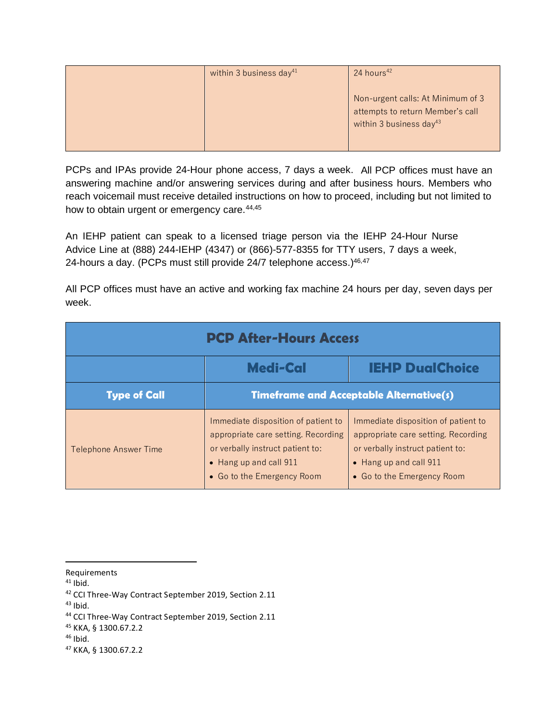| within 3 business day <sup>41</sup> | 24 hours <sup>42</sup>                                                                                       |
|-------------------------------------|--------------------------------------------------------------------------------------------------------------|
|                                     | Non-urgent calls: At Minimum of 3<br>attempts to return Member's call<br>within 3 business day <sup>43</sup> |

PCPs and IPAs provide 24-Hour phone access, 7 days a week. All PCP offices must have an answering machine and/or answering services during and after business hours. Members who reach voicemail must receive detailed instructions on how to proceed, including but not limited to how to obtain urgent or emergency care.<sup>44,45</sup>

An IEHP patient can speak to a licensed triage person via the IEHP 24-Hour Nurse Advice Line at (888) 244-IEHP (4347) or (866)-577-8355 for TTY users, 7 days a week, 24-hours a day. (PCPs must still provide  $24/7$  telephone access.) $46,47$ 

All PCP offices must have an active and working fax machine 24 hours per day, seven days per week.

| <b>PCP After-Hours Access</b> |                                                                                                                                                                        |                                                                                                                                                                        |
|-------------------------------|------------------------------------------------------------------------------------------------------------------------------------------------------------------------|------------------------------------------------------------------------------------------------------------------------------------------------------------------------|
|                               | <b>IEHP DualChoice</b><br><b>Medi-Cal</b>                                                                                                                              |                                                                                                                                                                        |
| <b>Type of Call</b>           | <b>Timeframe and Acceptable Alternative(s)</b>                                                                                                                         |                                                                                                                                                                        |
| Telephone Answer Time         | Immediate disposition of patient to<br>appropriate care setting. Recording<br>or verbally instruct patient to:<br>• Hang up and call 911<br>• Go to the Emergency Room | Immediate disposition of patient to<br>appropriate care setting. Recording<br>or verbally instruct patient to:<br>• Hang up and call 911<br>• Go to the Emergency Room |

 $41$  Ibid.

 $43$  Ibid.

 $46$  Ibid.

Requirements

<sup>&</sup>lt;sup>42</sup> CCI Three-Way Contract September 2019, Section 2.11

<sup>44</sup> CCI Three-Way Contract September 2019, Section 2.11

<sup>45</sup> KKA, § 1300.67.2.2

<sup>47</sup> KKA, § 1300.67.2.2